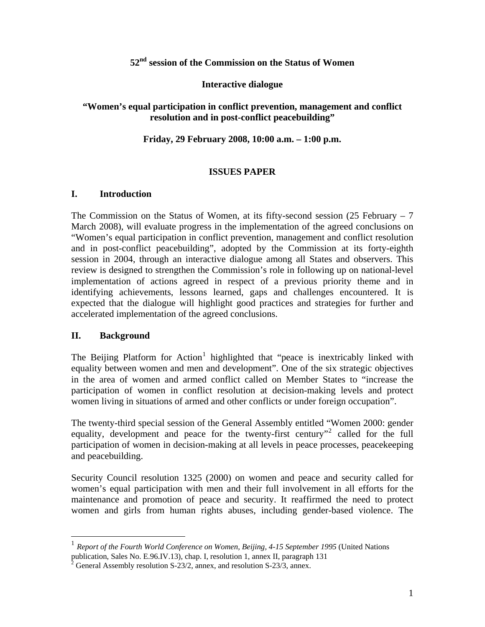### **52nd session of the Commission on the Status of Women**

#### **Interactive dialogue**

### **"Women's equal participation in conflict prevention, management and conflict resolution and in post-conflict peacebuilding"**

#### **Friday, 29 February 2008, 10:00 a.m. – 1:00 p.m.**

#### **ISSUES PAPER**

#### **I. Introduction**

The Commission on the Status of Women, at its fifty-second session  $(25$  February – 7 March 2008), will evaluate progress in the implementation of the agreed conclusions on "Women's equal participation in conflict prevention, management and conflict resolution and in post-conflict peacebuilding", adopted by the Commission at its forty-eighth session in 2004, through an interactive dialogue among all States and observers. This review is designed to strengthen the Commission's role in following up on national-level implementation of actions agreed in respect of a previous priority theme and in identifying achievements, lessons learned, gaps and challenges encountered. It is expected that the dialogue will highlight good practices and strategies for further and accelerated implementation of the agreed conclusions.

#### **II. Background**

1

The Beijing Platform for Action<sup>[1](#page-0-0)</sup> highlighted that "peace is inextricably linked with equality between women and men and development". One of the six strategic objectives in the area of women and armed conflict called on Member States to "increase the participation of women in conflict resolution at decision-making levels and protect women living in situations of armed and other conflicts or under foreign occupation".

The twenty-third special session of the General Assembly entitled "Women 2000: gender equality, development and peace for the twenty-first century"<sup>[2](#page-0-1)</sup> called for the full participation of women in decision-making at all levels in peace processes, peacekeeping and peacebuilding.

Security Council resolution 1325 (2000) on women and peace and security called for women's equal participation with men and their full involvement in all efforts for the maintenance and promotion of peace and security. It reaffirmed the need to protect women and girls from human rights abuses, including gender-based violence. The

<span id="page-0-0"></span><sup>1</sup> *Report of the Fourth World Conference on Women, Beijing, 4-15 September 1995* (United Nations publication, Sales No. E.96.IV.13), chap. I, resolution 1, annex II, paragraph 131<br> $\frac{2}{3}$  General Assembly resolution S. 22/2, annoy and resolution S. 22/2, annoy

<span id="page-0-1"></span>General Assembly resolution S-23/2, annex, and resolution S-23/3, annex.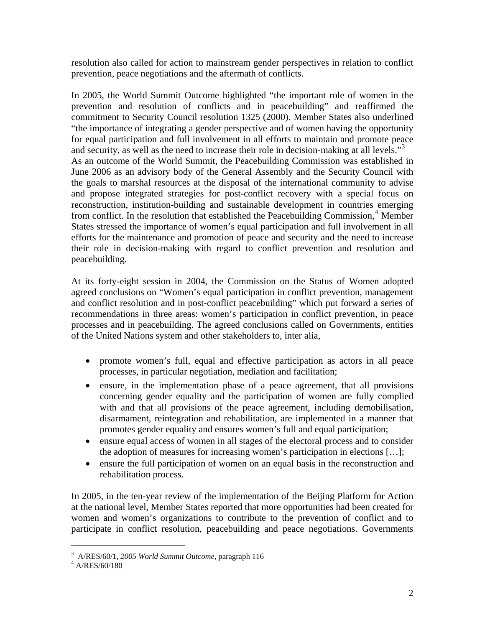resolution also called for action to mainstream gender perspectives in relation to conflict prevention, peace negotiations and the aftermath of conflicts.

In 2005, the World Summit Outcome highlighted "the important role of women in the prevention and resolution of conflicts and in peacebuilding" and reaffirmed the commitment to Security Council resolution 1325 (2000). Member States also underlined "the importance of integrating a gender perspective and of women having the opportunity for equal participation and full involvement in all efforts to maintain and promote peace and security, as well as the need to increase their role in decision-making at all levels."<sup>[3](#page-1-0)</sup> As an outcome of the World Summit, the Peacebuilding Commission was established in June 2006 as an advisory body of the General Assembly and the Security Council with the goals to marshal resources at the disposal of the international community to advise and propose integrated strategies for post-conflict recovery with a special focus on reconstruction, institution-building and sustainable development in countries emerging from conflict. In the resolution that established the Peacebuilding Commission,<sup>[4](#page-1-1)</sup> Member States stressed the importance of women's equal participation and full involvement in all efforts for the maintenance and promotion of peace and security and the need to increase their role in decision-making with regard to conflict prevention and resolution and peacebuilding.

At its forty-eight session in 2004, the Commission on the Status of Women adopted agreed conclusions on "Women's equal participation in conflict prevention, management and conflict resolution and in post-conflict peacebuilding" which put forward a series of recommendations in three areas: women's participation in conflict prevention, in peace processes and in peacebuilding. The agreed conclusions called on Governments, entities of the United Nations system and other stakeholders to, inter alia,

- promote women's full, equal and effective participation as actors in all peace processes, in particular negotiation, mediation and facilitation;
- ensure, in the implementation phase of a peace agreement, that all provisions concerning gender equality and the participation of women are fully complied with and that all provisions of the peace agreement, including demobilisation, disarmament, reintegration and rehabilitation, are implemented in a manner that promotes gender equality and ensures women's full and equal participation;
- ensure equal access of women in all stages of the electoral process and to consider the adoption of measures for increasing women's participation in elections […];
- ensure the full participation of women on an equal basis in the reconstruction and rehabilitation process.

In 2005, in the ten-year review of the implementation of the Beijing Platform for Action at the national level, Member States reported that more opportunities had been created for women and women's organizations to contribute to the prevention of conflict and to participate in conflict resolution, peacebuilding and peace negotiations. Governments

 $\overline{a}$ 

<sup>&</sup>lt;sup>3</sup> A/RES/60/1, 2005 World Summit Outcome, paragraph 116<br><sup>4</sup> A/RES/60/190

<span id="page-1-1"></span><span id="page-1-0"></span> $4$  A/RES/60/180